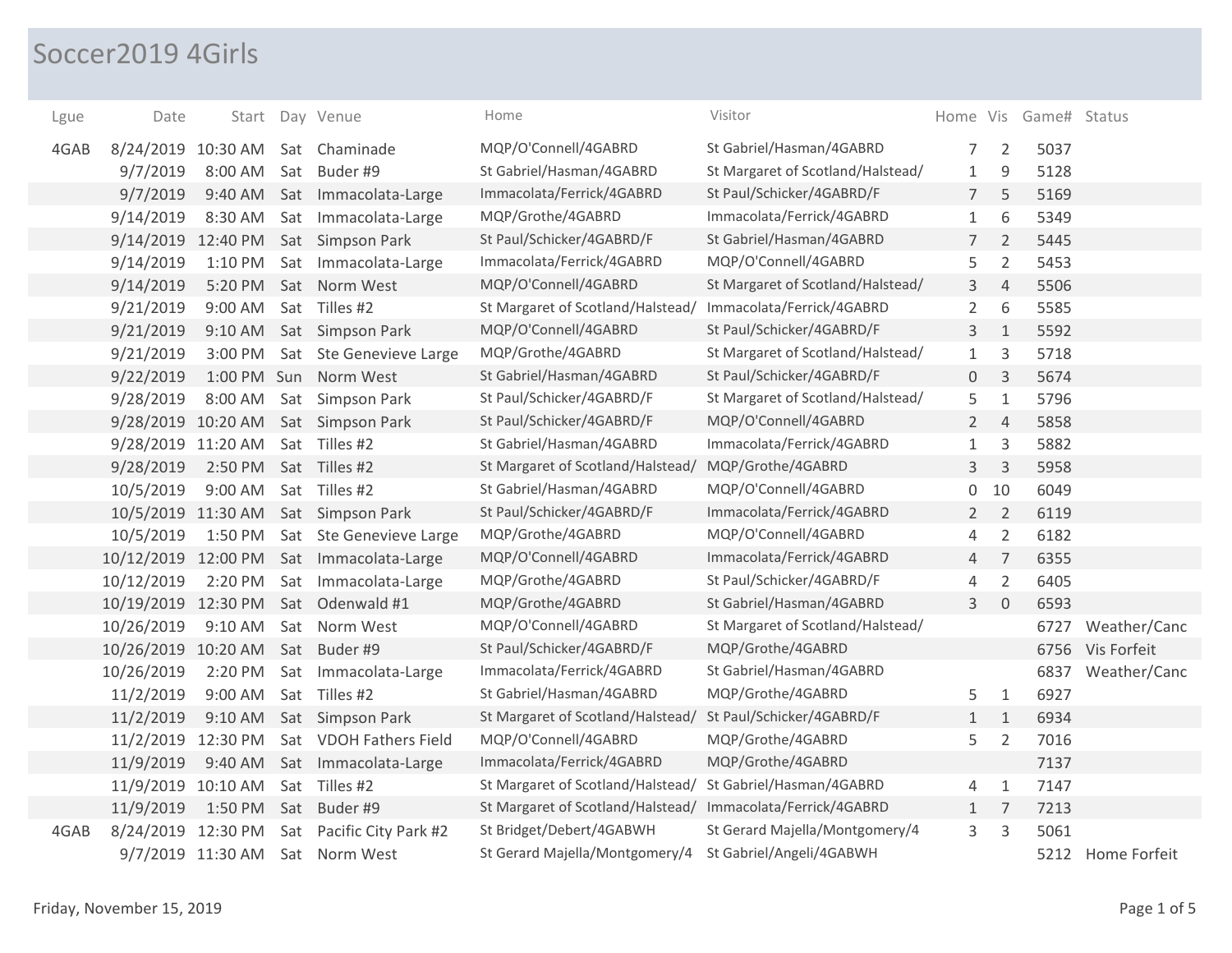## Soccer2019 4Girls

| Lgue | Date                | Start             |     | Day Venue               | Home                                                        | Visitor                           | Home Vis       |                | Game# Status |                   |
|------|---------------------|-------------------|-----|-------------------------|-------------------------------------------------------------|-----------------------------------|----------------|----------------|--------------|-------------------|
| 4GAB | 8/24/2019 10:30 AM  |                   |     | Sat Chaminade           | MQP/O'Connell/4GABRD                                        | St Gabriel/Hasman/4GABRD          | 7              | $\overline{2}$ | 5037         |                   |
|      | 9/7/2019            | 8:00 AM           | Sat | Buder #9                | St Gabriel/Hasman/4GABRD                                    | St Margaret of Scotland/Halstead/ | $\mathbf{1}$   | $\mathsf 9$    | 5128         |                   |
|      | 9/7/2019            | 9:40 AM           |     | Sat Immacolata-Large    | Immacolata/Ferrick/4GABRD                                   | St Paul/Schicker/4GABRD/F         | $\overline{7}$ | 5              | 5169         |                   |
|      | 9/14/2019           | 8:30 AM           |     | Sat Immacolata-Large    | MQP/Grothe/4GABRD                                           | Immacolata/Ferrick/4GABRD         | $\mathbf{1}$   | 6              | 5349         |                   |
|      | 9/14/2019 12:40 PM  |                   |     | Sat Simpson Park        | St Paul/Schicker/4GABRD/F                                   | St Gabriel/Hasman/4GABRD          | $7^{\circ}$    | $\overline{2}$ | 5445         |                   |
|      | 9/14/2019           | 1:10 PM           |     | Sat Immacolata-Large    | Immacolata/Ferrick/4GABRD                                   | MQP/O'Connell/4GABRD              | 5              | $\overline{2}$ | 5453         |                   |
|      | 9/14/2019           | 5:20 PM           |     | Sat Norm West           | MQP/O'Connell/4GABRD                                        | St Margaret of Scotland/Halstead/ | 3              | $\overline{4}$ | 5506         |                   |
|      | 9/21/2019           | 9:00 AM           |     | Sat Tilles #2           | St Margaret of Scotland/Halstead/                           | Immacolata/Ferrick/4GABRD         | $\overline{2}$ | 6              | 5585         |                   |
|      | 9/21/2019           | $9:10$ AM         |     | Sat Simpson Park        | MQP/O'Connell/4GABRD                                        | St Paul/Schicker/4GABRD/F         | 3              | $1\,$          | 5592         |                   |
|      | 9/21/2019           | 3:00 PM           |     | Sat Ste Genevieve Large | MQP/Grothe/4GABRD                                           | St Margaret of Scotland/Halstead/ | $\mathbf{1}$   | 3              | 5718         |                   |
|      | 9/22/2019           |                   |     | 1:00 PM Sun Norm West   | St Gabriel/Hasman/4GABRD                                    | St Paul/Schicker/4GABRD/F         | 0              | $\mathsf 3$    | 5674         |                   |
|      | 9/28/2019           | 8:00 AM           |     | Sat Simpson Park        | St Paul/Schicker/4GABRD/F                                   | St Margaret of Scotland/Halstead/ | 5              | $1\,$          | 5796         |                   |
|      | 9/28/2019 10:20 AM  |                   |     | Sat Simpson Park        | St Paul/Schicker/4GABRD/F                                   | MQP/O'Connell/4GABRD              | $\overline{2}$ | $\overline{4}$ | 5858         |                   |
|      | 9/28/2019 11:20 AM  |                   |     | Sat Tilles #2           | St Gabriel/Hasman/4GABRD                                    | Immacolata/Ferrick/4GABRD         | $\mathbf{1}$   | 3              | 5882         |                   |
|      | 9/28/2019           | 2:50 PM           |     | Sat Tilles #2           | St Margaret of Scotland/Halstead/                           | MQP/Grothe/4GABRD                 | 3              | $\mathsf 3$    | 5958         |                   |
|      | 10/5/2019           | 9:00 AM           |     | Sat Tilles #2           | St Gabriel/Hasman/4GABRD                                    | MQP/O'Connell/4GABRD              | 0              | 10             | 6049         |                   |
|      | 10/5/2019 11:30 AM  |                   |     | Sat Simpson Park        | St Paul/Schicker/4GABRD/F                                   | Immacolata/Ferrick/4GABRD         | $\overline{2}$ | $\overline{2}$ | 6119         |                   |
|      | 10/5/2019           | 1:50 PM           |     | Sat Ste Genevieve Large | MQP/Grothe/4GABRD                                           | MQP/O'Connell/4GABRD              | 4              | $\overline{2}$ | 6182         |                   |
|      | 10/12/2019 12:00 PM |                   | Sat | Immacolata-Large        | MQP/O'Connell/4GABRD                                        | Immacolata/Ferrick/4GABRD         | $\overline{4}$ | $\overline{7}$ | 6355         |                   |
|      | 10/12/2019          | 2:20 PM           |     | Sat Immacolata-Large    | MQP/Grothe/4GABRD                                           | St Paul/Schicker/4GABRD/F         | 4              | $\overline{2}$ | 6405         |                   |
|      | 10/19/2019 12:30 PM |                   |     | Sat Odenwald #1         | MQP/Grothe/4GABRD                                           | St Gabriel/Hasman/4GABRD          | 3              | $\overline{0}$ | 6593         |                   |
|      | 10/26/2019          | 9:10 AM           |     | Sat Norm West           | MQP/O'Connell/4GABRD                                        | St Margaret of Scotland/Halstead/ |                |                | 6727         | Weather/Canc      |
|      | 10/26/2019 10:20 AM |                   | Sat | Buder #9                | St Paul/Schicker/4GABRD/F                                   | MQP/Grothe/4GABRD                 |                |                | 6756         | Vis Forfeit       |
|      | 10/26/2019          | 2:20 PM           |     | Sat Immacolata-Large    | Immacolata/Ferrick/4GABRD                                   | St Gabriel/Hasman/4GABRD          |                |                | 6837         | Weather/Canc      |
|      | 11/2/2019           | 9:00 AM           |     | Sat Tilles #2           | St Gabriel/Hasman/4GABRD                                    | MQP/Grothe/4GABRD                 | 5              | $\mathbf{1}$   | 6927         |                   |
|      | 11/2/2019           | 9:10 AM           |     | Sat Simpson Park        | St Margaret of Scotland/Halstead/                           | St Paul/Schicker/4GABRD/F         | $\mathbf{1}$   | $\mathbf{1}$   | 6934         |                   |
|      | 11/2/2019 12:30 PM  |                   |     | Sat VDOH Fathers Field  | MQP/O'Connell/4GABRD                                        | MQP/Grothe/4GABRD                 | 5              | $\overline{2}$ | 7016         |                   |
|      | 11/9/2019           | 9:40 AM           |     | Sat Immacolata-Large    | Immacolata/Ferrick/4GABRD                                   | MQP/Grothe/4GABRD                 |                |                | 7137         |                   |
|      | 11/9/2019 10:10 AM  |                   |     | Sat Tilles #2           | St Margaret of Scotland/Halstead/                           | St Gabriel/Hasman/4GABRD          | 4              | $\mathbf{1}$   | 7147         |                   |
|      | 11/9/2019           | 1:50 PM           |     | Sat Buder #9            | St Margaret of Scotland/Halstead/ Immacolata/Ferrick/4GABRD |                                   | $\mathbf{1}$   | $\overline{7}$ | 7213         |                   |
| 4GAB | 8/24/2019 12:30 PM  |                   | Sat | Pacific City Park #2    | St Bridget/Debert/4GABWH                                    | St Gerard Majella/Montgomery/4    | 3              | $\mathsf 3$    | 5061         |                   |
|      |                     | 9/7/2019 11:30 AM |     | Sat Norm West           | St Gerard Majella/Montgomery/4                              | St Gabriel/Angeli/4GABWH          |                |                |              | 5212 Home Forfeit |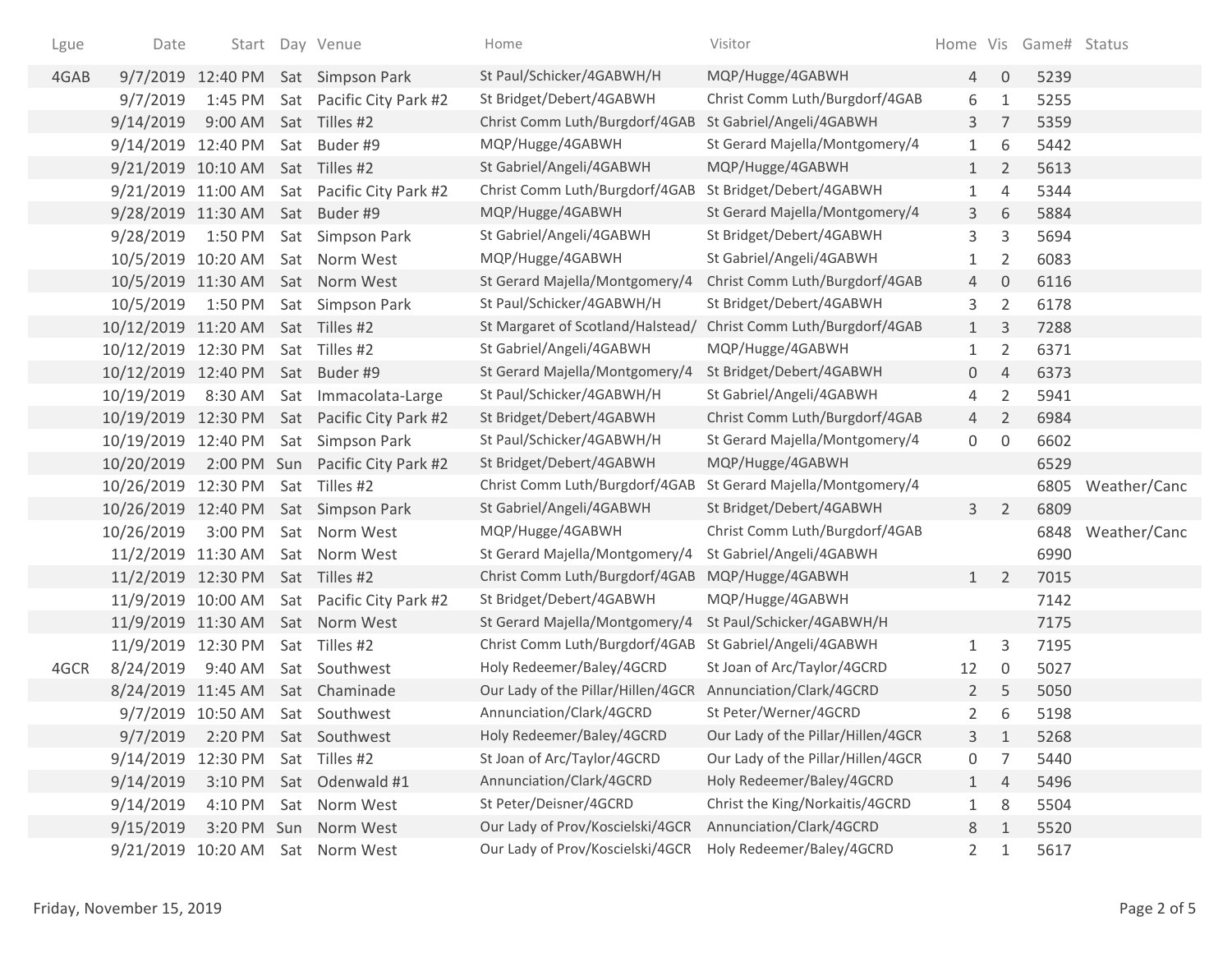| Lgue | Date                | Start             |     | Day Venue                                    | Home                               | Visitor                            |                |                     | Home Vis Game# Status |              |
|------|---------------------|-------------------|-----|----------------------------------------------|------------------------------------|------------------------------------|----------------|---------------------|-----------------------|--------------|
| 4GAB |                     |                   |     | 9/7/2019 12:40 PM Sat Simpson Park           | St Paul/Schicker/4GABWH/H          | MQP/Hugge/4GABWH                   | $\overline{4}$ | $\mathbf 0$         | 5239                  |              |
|      | 9/7/2019            | 1:45 PM           |     | Sat Pacific City Park #2                     | St Bridget/Debert/4GABWH           | Christ Comm Luth/Burgdorf/4GAB     | 6              | $\mathbf{1}$        | 5255                  |              |
|      | 9/14/2019           | $9:00$ AM         |     | Sat Tilles #2                                | Christ Comm Luth/Burgdorf/4GAB     | St Gabriel/Angeli/4GABWH           | 3              | $\overline{7}$      | 5359                  |              |
|      | 9/14/2019 12:40 PM  |                   |     | Sat Buder #9                                 | MQP/Hugge/4GABWH                   | St Gerard Majella/Montgomery/4     | $\mathbf{1}$   | 6                   | 5442                  |              |
|      | 9/21/2019 10:10 AM  |                   | Sat | Tilles #2                                    | St Gabriel/Angeli/4GABWH           | MQP/Hugge/4GABWH                   | $\mathbf{1}$   | $\overline{2}$      | 5613                  |              |
|      | 9/21/2019 11:00 AM  |                   |     | Sat Pacific City Park #2                     | Christ Comm Luth/Burgdorf/4GAB     | St Bridget/Debert/4GABWH           | 1              | $\overline{4}$      | 5344                  |              |
|      | 9/28/2019 11:30 AM  |                   |     | Sat Buder #9                                 | MQP/Hugge/4GABWH                   | St Gerard Majella/Montgomery/4     | 3              | 6                   | 5884                  |              |
|      | 9/28/2019           | 1:50 PM           |     | Sat Simpson Park                             | St Gabriel/Angeli/4GABWH           | St Bridget/Debert/4GABWH           | 3              | 3                   | 5694                  |              |
|      | 10/5/2019 10:20 AM  |                   |     | Sat Norm West                                | MQP/Hugge/4GABWH                   | St Gabriel/Angeli/4GABWH           | 1              | 2                   | 6083                  |              |
|      | 10/5/2019 11:30 AM  |                   |     | Sat Norm West                                | St Gerard Majella/Montgomery/4     | Christ Comm Luth/Burgdorf/4GAB     | 4              | $\mathbf 0$         | 6116                  |              |
|      | 10/5/2019           | 1:50 PM           |     | Sat Simpson Park                             | St Paul/Schicker/4GABWH/H          | St Bridget/Debert/4GABWH           | 3              | $\overline{2}$      | 6178                  |              |
|      | 10/12/2019 11:20 AM |                   |     | Sat Tilles #2                                | St Margaret of Scotland/Halstead/  | Christ Comm Luth/Burgdorf/4GAB     | $\mathbf{1}$   | $\mathsf{3}$        | 7288                  |              |
|      | 10/12/2019 12:30 PM |                   |     | Sat Tilles #2                                | St Gabriel/Angeli/4GABWH           | MQP/Hugge/4GABWH                   | 1              | 2                   | 6371                  |              |
|      | 10/12/2019 12:40 PM |                   | Sat | Buder #9                                     | St Gerard Majella/Montgomery/4     | St Bridget/Debert/4GABWH           | 0              | $\overline{4}$      | 6373                  |              |
|      | 10/19/2019          | 8:30 AM           |     | Sat Immacolata-Large                         | St Paul/Schicker/4GABWH/H          | St Gabriel/Angeli/4GABWH           | 4              | $\overline{2}$      | 5941                  |              |
|      |                     |                   |     | 10/19/2019 12:30 PM Sat Pacific City Park #2 | St Bridget/Debert/4GABWH           | Christ Comm Luth/Burgdorf/4GAB     | $\overline{4}$ | $\overline{2}$      | 6984                  |              |
|      | 10/19/2019 12:40 PM |                   |     | Sat Simpson Park                             | St Paul/Schicker/4GABWH/H          | St Gerard Majella/Montgomery/4     | 0              | $\mathsf{O}\xspace$ | 6602                  |              |
|      | 10/20/2019          |                   |     | 2:00 PM Sun Pacific City Park #2             | St Bridget/Debert/4GABWH           | MQP/Hugge/4GABWH                   |                |                     | 6529                  |              |
|      | 10/26/2019 12:30 PM |                   |     | Sat Tilles #2                                | Christ Comm Luth/Burgdorf/4GAB     | St Gerard Majella/Montgomery/4     |                |                     | 6805                  | Weather/Canc |
|      | 10/26/2019 12:40 PM |                   |     | Sat Simpson Park                             | St Gabriel/Angeli/4GABWH           | St Bridget/Debert/4GABWH           | $\mathbf{3}$   | $\overline{2}$      | 6809                  |              |
|      | 10/26/2019          | 3:00 PM           |     | Sat Norm West                                | MQP/Hugge/4GABWH                   | Christ Comm Luth/Burgdorf/4GAB     |                |                     | 6848                  | Weather/Canc |
|      | 11/2/2019 11:30 AM  |                   |     | Sat Norm West                                | St Gerard Majella/Montgomery/4     | St Gabriel/Angeli/4GABWH           |                |                     | 6990                  |              |
|      | 11/2/2019 12:30 PM  |                   |     | Sat Tilles #2                                | Christ Comm Luth/Burgdorf/4GAB     | MQP/Hugge/4GABWH                   | 1              | $\overline{2}$      | 7015                  |              |
|      | 11/9/2019 10:00 AM  |                   |     | Sat Pacific City Park #2                     | St Bridget/Debert/4GABWH           | MQP/Hugge/4GABWH                   |                |                     | 7142                  |              |
|      | 11/9/2019 11:30 AM  |                   |     | Sat Norm West                                | St Gerard Majella/Montgomery/4     | St Paul/Schicker/4GABWH/H          |                |                     | 7175                  |              |
|      | 11/9/2019 12:30 PM  |                   |     | Sat Tilles #2                                | Christ Comm Luth/Burgdorf/4GAB     | St Gabriel/Angeli/4GABWH           | $\mathbf{1}$   | 3                   | 7195                  |              |
| 4GCR | 8/24/2019           | 9:40 AM           |     | Sat Southwest                                | Holy Redeemer/Baley/4GCRD          | St Joan of Arc/Taylor/4GCRD        | 12             | $\mathbf 0$         | 5027                  |              |
|      | 8/24/2019 11:45 AM  |                   |     | Sat Chaminade                                | Our Lady of the Pillar/Hillen/4GCR | Annunciation/Clark/4GCRD           | $\overline{2}$ | 5                   | 5050                  |              |
|      |                     | 9/7/2019 10:50 AM |     | Sat Southwest                                | Annunciation/Clark/4GCRD           | St Peter/Werner/4GCRD              | 2              | 6                   | 5198                  |              |
|      | 9/7/2019            | 2:20 PM           |     | Sat Southwest                                | Holy Redeemer/Baley/4GCRD          | Our Lady of the Pillar/Hillen/4GCR | 3              | 1                   | 5268                  |              |
|      | 9/14/2019           | 12:30 PM          |     | Sat Tilles #2                                | St Joan of Arc/Taylor/4GCRD        | Our Lady of the Pillar/Hillen/4GCR | 0              | 7                   | 5440                  |              |
|      | 9/14/2019           | 3:10 PM           |     | Sat Odenwald #1                              | Annunciation/Clark/4GCRD           | Holy Redeemer/Baley/4GCRD          | $\mathbf{1}$   | 4                   | 5496                  |              |
|      | 9/14/2019           | 4:10 PM           |     | Sat Norm West                                | St Peter/Deisner/4GCRD             | Christ the King/Norkaitis/4GCRD    | $\mathbf{1}$   | 8                   | 5504                  |              |
|      | 9/15/2019           | 3:20 PM Sun       |     | Norm West                                    | Our Lady of Prov/Koscielski/4GCR   | Annunciation/Clark/4GCRD           | 8              | 1                   | 5520                  |              |
|      | 9/21/2019 10:20 AM  |                   |     | Sat Norm West                                | Our Lady of Prov/Koscielski/4GCR   | Holy Redeemer/Baley/4GCRD          | $\overline{2}$ | 1                   | 5617                  |              |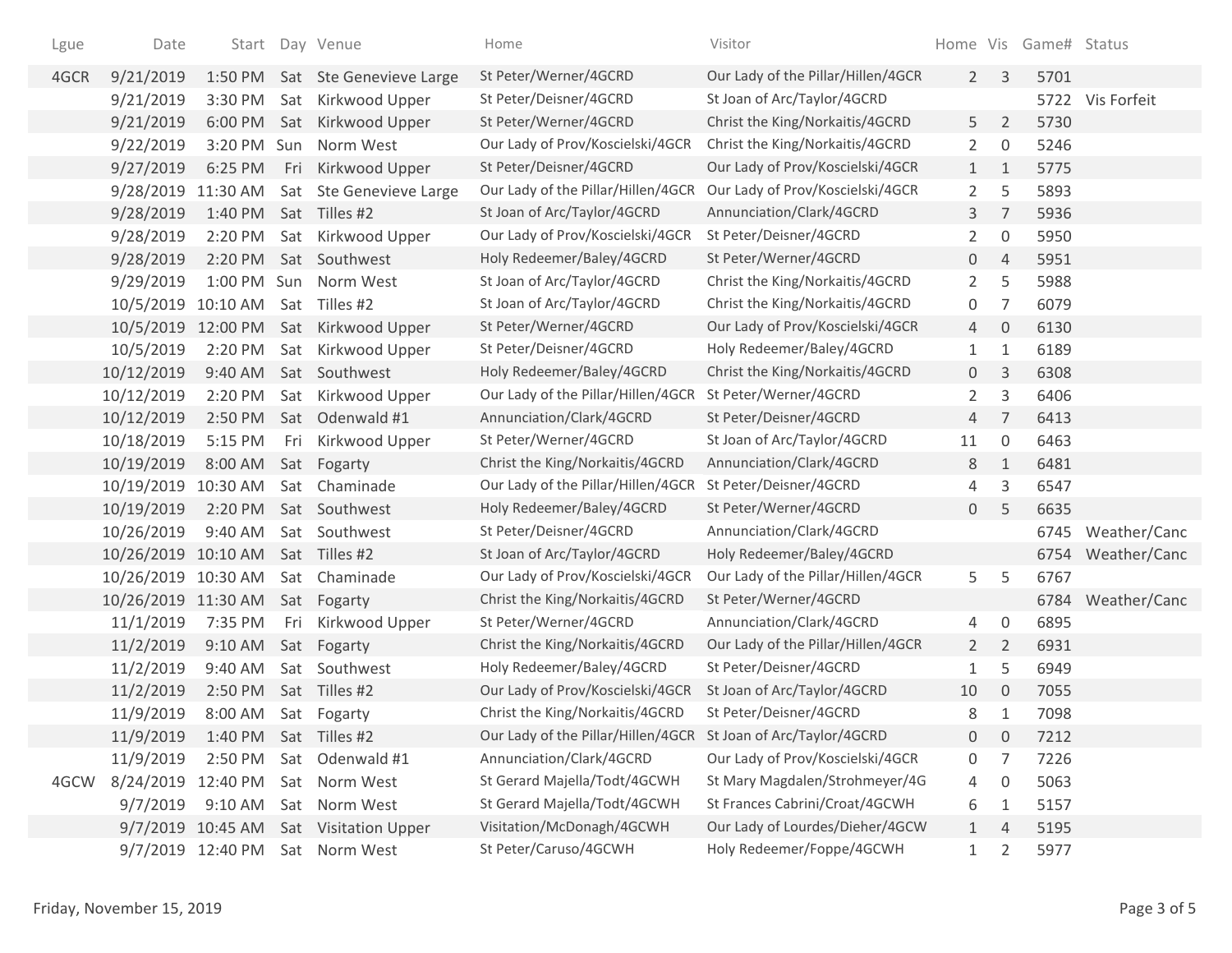| Lgue | Date                | Start             |     | Day Venue                       | Home                                                           | Visitor                            |                       |                     | Home Vis Game# Status |                   |
|------|---------------------|-------------------|-----|---------------------------------|----------------------------------------------------------------|------------------------------------|-----------------------|---------------------|-----------------------|-------------------|
| 4GCR | 9/21/2019           |                   |     | 1:50 PM Sat Ste Genevieve Large | St Peter/Werner/4GCRD                                          | Our Lady of the Pillar/Hillen/4GCR | $\overline{2}$        | 3                   | 5701                  |                   |
|      | 9/21/2019           | 3:30 PM           |     | Sat Kirkwood Upper              | St Peter/Deisner/4GCRD                                         | St Joan of Arc/Taylor/4GCRD        |                       |                     |                       | 5722 Vis Forfeit  |
|      | 9/21/2019           | 6:00 PM           |     | Sat Kirkwood Upper              | St Peter/Werner/4GCRD                                          | Christ the King/Norkaitis/4GCRD    | 5                     | $\overline{2}$      | 5730                  |                   |
|      | 9/22/2019           | 3:20 PM Sun       |     | Norm West                       | Our Lady of Prov/Koscielski/4GCR                               | Christ the King/Norkaitis/4GCRD    | $\mathbf{2}^{\prime}$ | 0                   | 5246                  |                   |
|      | 9/27/2019           | 6:25 PM           | Fri | Kirkwood Upper                  | St Peter/Deisner/4GCRD                                         | Our Lady of Prov/Koscielski/4GCR   | $\mathbf{1}$          | 1                   | 5775                  |                   |
|      | 9/28/2019 11:30 AM  |                   |     | Sat Ste Genevieve Large         | Our Lady of the Pillar/Hillen/4GCR                             | Our Lady of Prov/Koscielski/4GCR   | $\overline{2}$        | 5                   | 5893                  |                   |
|      | 9/28/2019           | 1:40 PM           |     | Sat Tilles #2                   | St Joan of Arc/Taylor/4GCRD                                    | Annunciation/Clark/4GCRD           | 3                     | 7                   | 5936                  |                   |
|      | 9/28/2019           | 2:20 PM           |     | Sat Kirkwood Upper              | Our Lady of Prov/Koscielski/4GCR                               | St Peter/Deisner/4GCRD             | $\overline{2}$        | $\boldsymbol{0}$    | 5950                  |                   |
|      | 9/28/2019           | 2:20 PM           |     | Sat Southwest                   | Holy Redeemer/Baley/4GCRD                                      | St Peter/Werner/4GCRD              | 0                     | $\overline{4}$      | 5951                  |                   |
|      | 9/29/2019           | 1:00 PM           | Sun | Norm West                       | St Joan of Arc/Taylor/4GCRD                                    | Christ the King/Norkaitis/4GCRD    | $\overline{2}$        | 5                   | 5988                  |                   |
|      | 10/5/2019           | 10:10 AM          |     | Sat Tilles #2                   | St Joan of Arc/Taylor/4GCRD                                    | Christ the King/Norkaitis/4GCRD    | 0                     | $\overline{7}$      | 6079                  |                   |
|      | 10/5/2019           | 12:00 PM          | Sat | Kirkwood Upper                  | St Peter/Werner/4GCRD                                          | Our Lady of Prov/Koscielski/4GCR   | 4                     | 0                   | 6130                  |                   |
|      | 10/5/2019           | 2:20 PM           | Sat | Kirkwood Upper                  | St Peter/Deisner/4GCRD                                         | Holy Redeemer/Baley/4GCRD          | 1                     | 1                   | 6189                  |                   |
|      | 10/12/2019          | 9:40 AM           | Sat | Southwest                       | Holy Redeemer/Baley/4GCRD                                      | Christ the King/Norkaitis/4GCRD    | $\overline{0}$        | 3                   | 6308                  |                   |
|      | 10/12/2019          | 2:20 PM           |     | Sat Kirkwood Upper              | Our Lady of the Pillar/Hillen/4GCR                             | St Peter/Werner/4GCRD              | $\overline{2}$        | 3                   | 6406                  |                   |
|      | 10/12/2019          | 2:50 PM           | Sat | Odenwald #1                     | Annunciation/Clark/4GCRD                                       | St Peter/Deisner/4GCRD             | 4                     | $\overline{7}$      | 6413                  |                   |
|      | 10/18/2019          | 5:15 PM           | Fri | Kirkwood Upper                  | St Peter/Werner/4GCRD                                          | St Joan of Arc/Taylor/4GCRD        | 11                    | $\mathsf{O}\xspace$ | 6463                  |                   |
|      | 10/19/2019          | 8:00 AM           |     | Sat Fogarty                     | Christ the King/Norkaitis/4GCRD                                | Annunciation/Clark/4GCRD           | 8                     | $\mathbf{1}$        | 6481                  |                   |
|      | 10/19/2019          | 10:30 AM          |     | Sat Chaminade                   | Our Lady of the Pillar/Hillen/4GCR                             | St Peter/Deisner/4GCRD             | 4                     | 3                   | 6547                  |                   |
|      | 10/19/2019          | 2:20 PM           |     | Sat Southwest                   | Holy Redeemer/Baley/4GCRD                                      | St Peter/Werner/4GCRD              | 0                     | 5                   | 6635                  |                   |
|      | 10/26/2019          | 9:40 AM           |     | Sat Southwest                   | St Peter/Deisner/4GCRD                                         | Annunciation/Clark/4GCRD           |                       |                     |                       | 6745 Weather/Canc |
|      | 10/26/2019          | 10:10 AM          |     | Sat Tilles #2                   | St Joan of Arc/Taylor/4GCRD                                    | Holy Redeemer/Baley/4GCRD          |                       |                     | 6754                  | Weather/Canc      |
|      | 10/26/2019 10:30 AM |                   |     | Sat Chaminade                   | Our Lady of Prov/Koscielski/4GCR                               | Our Lady of the Pillar/Hillen/4GCR | 5                     | 5                   | 6767                  |                   |
|      | 10/26/2019 11:30 AM |                   |     | Sat Fogarty                     | Christ the King/Norkaitis/4GCRD                                | St Peter/Werner/4GCRD              |                       |                     |                       | 6784 Weather/Canc |
|      | 11/1/2019           | 7:35 PM           | Fri | Kirkwood Upper                  | St Peter/Werner/4GCRD                                          | Annunciation/Clark/4GCRD           | 4                     | 0                   | 6895                  |                   |
|      | 11/2/2019           | 9:10 AM           |     | Sat Fogarty                     | Christ the King/Norkaitis/4GCRD                                | Our Lady of the Pillar/Hillen/4GCR | $\overline{2}$        | $\overline{2}$      | 6931                  |                   |
|      | 11/2/2019           | 9:40 AM           |     | Sat Southwest                   | Holy Redeemer/Baley/4GCRD                                      | St Peter/Deisner/4GCRD             | 1                     | 5                   | 6949                  |                   |
|      | 11/2/2019           | 2:50 PM           |     | Sat Tilles #2                   | Our Lady of Prov/Koscielski/4GCR                               | St Joan of Arc/Taylor/4GCRD        | 10                    | 0                   | 7055                  |                   |
|      | 11/9/2019           | 8:00 AM           |     | Sat Fogarty                     | Christ the King/Norkaitis/4GCRD                                | St Peter/Deisner/4GCRD             | 8                     | 1                   | 7098                  |                   |
|      | 11/9/2019           | 1:40 PM           |     | Sat Tilles #2                   | Our Lady of the Pillar/Hillen/4GCR St Joan of Arc/Taylor/4GCRD |                                    | $\mathsf{O}$          | 0                   | 7212                  |                   |
|      | 11/9/2019           | 2:50 PM           |     | Sat Odenwald #1                 | Annunciation/Clark/4GCRD                                       | Our Lady of Prov/Koscielski/4GCR   | 0                     | 7                   | 7226                  |                   |
| 4GCW | 8/24/2019           | 12:40 PM          |     | Sat Norm West                   | St Gerard Majella/Todt/4GCWH                                   | St Mary Magdalen/Strohmeyer/4G     | 4                     | 0                   | 5063                  |                   |
|      | 9/7/2019            | 9:10 AM           |     | Sat Norm West                   | St Gerard Majella/Todt/4GCWH                                   | St Frances Cabrini/Croat/4GCWH     | 6                     | 1                   | 5157                  |                   |
|      |                     | 9/7/2019 10:45 AM |     | Sat Visitation Upper            | Visitation/McDonagh/4GCWH                                      | Our Lady of Lourdes/Dieher/4GCW    | $\mathbf{1}$          | $\overline{4}$      | 5195                  |                   |
|      |                     | 9/7/2019 12:40 PM |     | Sat Norm West                   | St Peter/Caruso/4GCWH                                          | Holy Redeemer/Foppe/4GCWH          | $\mathbf{1}$          | 2                   | 5977                  |                   |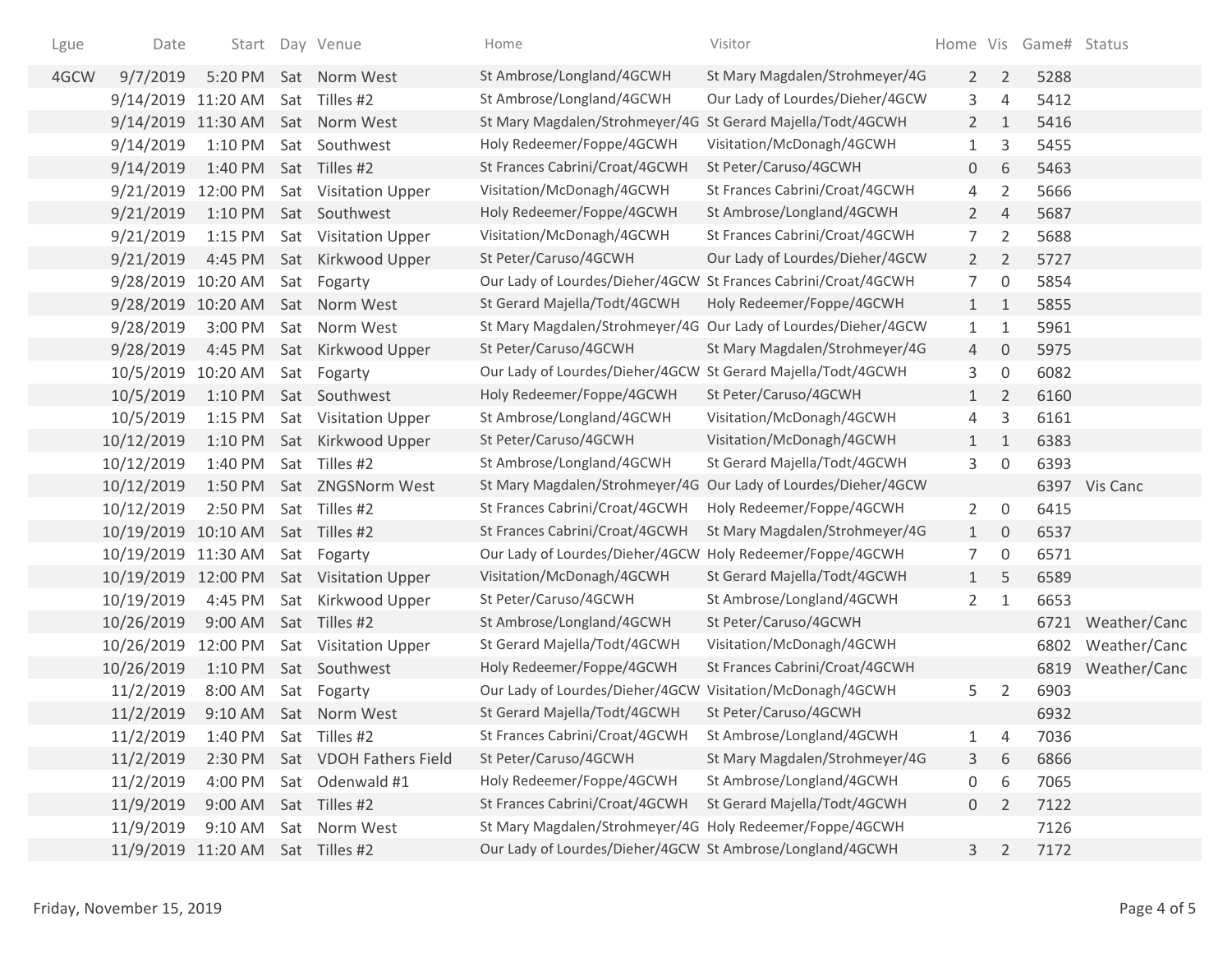| Lgue | Date                             |                       | Start Day Venue               | Home                                                           | Visitor                                                        |                |                     | Home Vis Game# Status |               |
|------|----------------------------------|-----------------------|-------------------------------|----------------------------------------------------------------|----------------------------------------------------------------|----------------|---------------------|-----------------------|---------------|
| 4GCW | 9/7/2019                         | 5:20 PM               | Sat Norm West                 | St Ambrose/Longland/4GCWH                                      | St Mary Magdalen/Strohmeyer/4G                                 | $2^{\circ}$    | $\overline{2}$      | 5288                  |               |
|      | 9/14/2019 11:20 AM               |                       | Sat Tilles #2                 | St Ambrose/Longland/4GCWH                                      | Our Lady of Lourdes/Dieher/4GCW                                | 3              | 4                   | 5412                  |               |
|      | 9/14/2019 11:30 AM               |                       | Sat Norm West                 | St Mary Magdalen/Strohmeyer/4G St Gerard Majella/Todt/4GCWH    |                                                                | $2^{\circ}$    | $\mathbf{1}$        | 5416                  |               |
|      | 9/14/2019                        | 1:10 PM               | Sat Southwest                 | Holy Redeemer/Foppe/4GCWH                                      | Visitation/McDonagh/4GCWH                                      | $\mathbf{1}$   | 3                   | 5455                  |               |
|      | 9/14/2019                        | 1:40 PM Sat Tilles #2 |                               | St Frances Cabrini/Croat/4GCWH                                 | St Peter/Caruso/4GCWH                                          | 0              | 6                   | 5463                  |               |
|      | 9/21/2019                        | 12:00 PM              | Sat Visitation Upper          | Visitation/McDonagh/4GCWH                                      | St Frances Cabrini/Croat/4GCWH                                 | 4              | $\overline{2}$      | 5666                  |               |
|      | 9/21/2019                        | 1:10 PM               | Sat Southwest                 | Holy Redeemer/Foppe/4GCWH                                      | St Ambrose/Longland/4GCWH                                      | $2^{\circ}$    | $\overline{4}$      | 5687                  |               |
|      | 9/21/2019                        | 1:15 PM               | Sat Visitation Upper          | Visitation/McDonagh/4GCWH                                      | St Frances Cabrini/Croat/4GCWH                                 | $\overline{7}$ | $\overline{2}$      | 5688                  |               |
|      | 9/21/2019                        | 4:45 PM               | Sat Kirkwood Upper            | St Peter/Caruso/4GCWH                                          | Our Lady of Lourdes/Dieher/4GCW                                | $2^{\circ}$    | $\overline{2}$      | 5727                  |               |
|      | 9/28/2019                        | 10:20 AM              | Sat Fogarty                   | Our Lady of Lourdes/Dieher/4GCW St Frances Cabrini/Croat/4GCWH |                                                                | 7              | $\boldsymbol{0}$    | 5854                  |               |
|      | 9/28/2019 10:20 AM               |                       | Sat Norm West                 | St Gerard Majella/Todt/4GCWH                                   | Holy Redeemer/Foppe/4GCWH                                      | 1              | 1                   | 5855                  |               |
|      | 9/28/2019                        | 3:00 PM               | Sat Norm West                 |                                                                | St Mary Magdalen/Strohmeyer/4G Our Lady of Lourdes/Dieher/4GCW | $\mathbf{1}$   | $\mathbf{1}$        | 5961                  |               |
|      | 9/28/2019                        |                       | 4:45 PM Sat Kirkwood Upper    | St Peter/Caruso/4GCWH                                          | St Mary Magdalen/Strohmeyer/4G                                 | $\overline{4}$ | $\overline{0}$      | 5975                  |               |
|      | 10/5/2019                        | 10:20 AM              | Sat Fogarty                   | Our Lady of Lourdes/Dieher/4GCW St Gerard Majella/Todt/4GCWH   |                                                                | 3              | $\mathsf{O}\xspace$ | 6082                  |               |
|      | 10/5/2019                        | 1:10 PM               | Sat Southwest                 | Holy Redeemer/Foppe/4GCWH                                      | St Peter/Caruso/4GCWH                                          | $\mathbf{1}$   | $\overline{2}$      | 6160                  |               |
|      | 10/5/2019                        | $1:15$ PM             | Sat Visitation Upper          | St Ambrose/Longland/4GCWH                                      | Visitation/McDonagh/4GCWH                                      | 4              | 3                   | 6161                  |               |
|      | 10/12/2019                       | 1:10 PM               | Sat Kirkwood Upper            | St Peter/Caruso/4GCWH                                          | Visitation/McDonagh/4GCWH                                      | $\mathbf{1}$   | $\mathbf{1}$        | 6383                  |               |
|      | 10/12/2019                       | 1:40 PM               | Sat Tilles #2                 | St Ambrose/Longland/4GCWH                                      | St Gerard Majella/Todt/4GCWH                                   | 3              | 0                   | 6393                  |               |
|      | 10/12/2019                       | 1:50 PM               | Sat ZNGSNorm West             | St Mary Magdalen/Strohmeyer/4G                                 | Our Lady of Lourdes/Dieher/4GCW                                |                |                     |                       | 6397 Vis Canc |
|      | 10/12/2019                       | 2:50 PM               | Sat Tilles #2                 | St Frances Cabrini/Croat/4GCWH                                 | Holy Redeemer/Foppe/4GCWH                                      | $2^{\circ}$    | $\overline{0}$      | 6415                  |               |
|      | 10/19/2019 10:10 AM              |                       | Sat Tilles #2                 | St Frances Cabrini/Croat/4GCWH                                 | St Mary Magdalen/Strohmeyer/4G                                 | 1              | $\overline{0}$      | 6537                  |               |
|      | 10/19/2019 11:30 AM              |                       | Sat Fogarty                   | Our Lady of Lourdes/Dieher/4GCW                                | Holy Redeemer/Foppe/4GCWH                                      | 7              | $\mathsf{O}\xspace$ | 6571                  |               |
|      | 10/19/2019                       |                       | 12:00 PM Sat Visitation Upper | Visitation/McDonagh/4GCWH                                      | St Gerard Majella/Todt/4GCWH                                   | 1              | 5                   | 6589                  |               |
|      | 10/19/2019                       | 4:45 PM               | Sat Kirkwood Upper            | St Peter/Caruso/4GCWH                                          | St Ambrose/Longland/4GCWH                                      | $\mathbf{2}$   | 1                   | 6653                  |               |
|      | 10/26/2019                       | 9:00 AM               | Sat Tilles #2                 | St Ambrose/Longland/4GCWH                                      | St Peter/Caruso/4GCWH                                          |                |                     | 6721                  | Weather/Canc  |
|      | 10/26/2019                       | 12:00 PM              | Sat Visitation Upper          | St Gerard Majella/Todt/4GCWH                                   | Visitation/McDonagh/4GCWH                                      |                |                     | 6802                  | Weather/Canc  |
|      | 10/26/2019                       | $1:10$ PM             | Sat Southwest                 | Holy Redeemer/Foppe/4GCWH                                      | St Frances Cabrini/Croat/4GCWH                                 |                |                     | 6819                  | Weather/Canc  |
|      | 11/2/2019                        | 8:00 AM               | Sat Fogarty                   | Our Lady of Lourdes/Dieher/4GCW Visitation/McDonagh/4GCWH      |                                                                | 5              | $\overline{2}$      | 6903                  |               |
|      | 11/2/2019                        |                       | 9:10 AM Sat Norm West         | St Gerard Majella/Todt/4GCWH                                   | St Peter/Caruso/4GCWH                                          |                |                     | 6932                  |               |
|      | 11/2/2019                        | 1:40 PM Sat Tilles #2 |                               | St Frances Cabrini/Croat/4GCWH                                 | St Ambrose/Longland/4GCWH                                      | 1              | 4                   | 7036                  |               |
|      | 11/2/2019                        | 2:30 PM               | Sat VDOH Fathers Field        | St Peter/Caruso/4GCWH                                          | St Mary Magdalen/Strohmeyer/4G                                 | 3              | 6                   | 6866                  |               |
|      | 11/2/2019                        | 4:00 PM               | Sat Odenwald #1               | Holy Redeemer/Foppe/4GCWH                                      | St Ambrose/Longland/4GCWH                                      | 0              | 6                   | 7065                  |               |
|      | 11/9/2019                        | 9:00 AM               | Sat Tilles #2                 | St Frances Cabrini/Croat/4GCWH                                 | St Gerard Majella/Todt/4GCWH                                   | $\overline{0}$ | 2                   | 7122                  |               |
|      | 11/9/2019                        | $9:10$ AM             | Sat Norm West                 | St Mary Magdalen/Strohmeyer/4G Holy Redeemer/Foppe/4GCWH       |                                                                |                |                     | 7126                  |               |
|      | 11/9/2019 11:20 AM Sat Tilles #2 |                       |                               | Our Lady of Lourdes/Dieher/4GCW St Ambrose/Longland/4GCWH      |                                                                | 3              | 2                   | 7172                  |               |